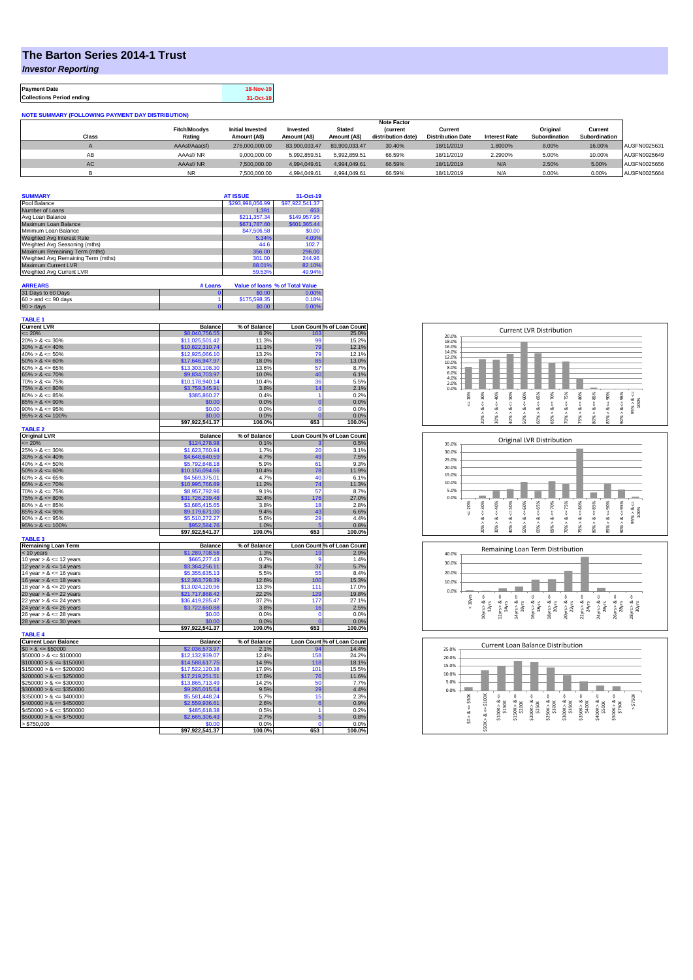## **The Barton Series 2014-1 Trust**

*Investor Reporting*

**TABLE 1**

**Payment Date 18-Nov-19 Collections Period ending 31-Oct-19**

## **NOTE SUMMARY (FOLLOWING PAYMENT DAY DISTRIBUTION)**

|       |                     | <b>Note Factor</b>      |               |               |                    |                          |                      |               |               |              |
|-------|---------------------|-------------------------|---------------|---------------|--------------------|--------------------------|----------------------|---------------|---------------|--------------|
|       | <b>Fitch/Moodys</b> | <b>Initial Invested</b> | Invested      | <b>Stated</b> | <b>(current</b>    | Current                  |                      | Original      | Current       |              |
| Class | Rating              | Amount (A\$)            | Amount (A\$)  | Amount (A\$)  | distribution date) | <b>Distribution Date</b> | <b>Interest Rate</b> | Subordination | Subordination |              |
|       | AAAsf/Aaa(sf)       | 276,000,000,00          | 83.900.033.47 | 83.900.033.47 | 30.40%             | 18/11/2019               | 1.8000%              | 8.00%         | 16.00%        | AU3FN0025631 |
| AB    | AAAsf/NR            | 9.000.000.00            | 5.992.859.51  | 5.992.859.51  | 66.59%             | 18/11/2019               | 2.2900%              | 5.00%         | 10.00%        | AU3FN0025649 |
| AC.   | AAAsf/NR            | 7.500.000.00            | 4.994.049.61  | 4.994.049.61  | 66.59%             | 18/11/2019               | N/A                  | 2.50%         | 5.00%         | AU3FN0025656 |
|       | <b>NR</b>           | 7.500.000.00            | 4.994.049.61  | 4.994.049.61  | 66.59%             | 18/11/2019               | N/A                  | 0.00%         | 0.00%         | AU3FN0025664 |

| <b>SUMMARY</b>                     |         | <b>AT ISSUE</b>  | 31-Oct-19                       |  |
|------------------------------------|---------|------------------|---------------------------------|--|
| Pool Balance                       |         | \$293,998,056.99 | \$97,922,541.37                 |  |
| Number of Loans                    |         | 1.391            | 653                             |  |
| Avg Loan Balance                   |         | \$211,357.34     | \$149,957.95                    |  |
| Maximum Loan Balance               |         | \$671,787.60     | \$601,365.44                    |  |
| Minimum Loan Balance               |         | \$47,506.58      | \$0.00                          |  |
| Weighted Avg Interest Rate         |         | 5.34%            | 4.09%                           |  |
| Weighted Avg Seasoning (mths)      |         | 44.6             | 102.7                           |  |
| Maximum Remaining Term (mths)      |         | 356.00           | 296.00                          |  |
| Weighted Avg Remaining Term (mths) |         | 301.00           | 244.96                          |  |
| Maximum Current LVR                |         | 88.01%           | 82.10%                          |  |
| Weighted Avg Current LVR           |         | 59.53%           | 49.94%                          |  |
| <b>ARREARS</b>                     | # Loans |                  | Value of Ioans % of Total Value |  |

| 31 Days to 60 Days        | \$0.00       | 0.00% |
|---------------------------|--------------|-------|
| $60 >$ and $\leq 90$ days | \$175,598,35 | 0.18% |
| $90 >$ days               | \$0.00       | 0.00% |

| <b>Current LVR</b>          | <b>Balance</b>            | % of Balance   |                | Loan Count % of Loan Count |
|-----------------------------|---------------------------|----------------|----------------|----------------------------|
| $\leq$ 20%                  | \$8,040,756.55            | 8.2%           | 163            | 25.0%                      |
| $20\% > 8 \le 30\%$         | \$11,025,501.42           | 11.3%          | 99             | 15.2%                      |
| $30\% > 8 \le 40\%$         | \$10,822,310.74           | 11.1%          | 79             | 12.1%                      |
| $40\% > 8 \le 50\%$         | \$12,925,066.10           | 13.2%          | 79             | 12.1%                      |
| $50\% > 8 \le 60\%$         | \$17,646,947.97           | 18.0%          | 85             | 13.0%                      |
| $60\% > 8 \le 65\%$         | \$13,303,108.30           | 13.6%          | 57             | 8.7%                       |
| $65\% > 8 \le 70\%$         | \$9,834,703.97            | 10.0%          | 40             | 6.1%                       |
| $70\% > 8 \le 75\%$         | \$10,178,940.14           | 10.4%          | 36             | 5.5%                       |
| $75\% > 8 \le 80\%$         | \$3,759,345.91            | 3.8%           | 14             | 2.1%                       |
| $80\% > 8 \le 85\%$         | \$385,860.27              | 0.4%           | 1              | 0.2%                       |
| $85\% > 8 \le 90\%$         | \$0.00                    | 0.0%           | $\overline{0}$ | 0.0%                       |
| $90\% > 8 \le 95\%$         | \$0.00                    | 0.0%           | $\Omega$       | 0.0%                       |
| $95\% > 8 \le 100\%$        | \$0.00                    | 0.0%           | $\Omega$       | 0.0%                       |
|                             | \$97.922.541.37           | 100.0%         | 653            | 100.0%                     |
| <b>TABLE 2</b>              |                           |                |                |                            |
| <b>Original LVR</b>         | <b>Balance</b>            | % of Balance   |                | Loan Count % of Loan Count |
| $\leq$ 20%                  | \$124,278.98              | 0.1%           | 3              | 0.5%                       |
| $25\% > 8 \le 30\%$         | \$1,623,760.94            | 1.7%           | 20             | 3.1%                       |
| $30\% > 8 \le 40\%$         | \$4,648,640.59            | 4.7%           | 49             | 7.5%                       |
| $40\% > 8 \le 50\%$         | \$5,792,648.18            | 5.9%           | 61             | 9.3%                       |
| $50\% > 8 \le 60\%$         | \$10,156,094.66           | 10.4%          | 78             | 11.9%                      |
| $60\% > 8 \le 65\%$         | \$4,569,375.01            | 4.7%           | 40             | 6.1%                       |
| $65\% > 8 \le 70\%$         | \$10,995,766.89           | 11.2%          | 74             | 11.3%                      |
| $70\% > 8 \le 75\%$         | \$8,957,792.96            | 9.1%           | 57             | 8.7%                       |
| $75\% > 8 \le 80\%$         | \$31.726.239.48           | 32.4%          | 176            | 27.0%                      |
| $80\% > 8 \le 85\%$         | \$3,685,415.65            | 3.8%           | 18             | 2.8%                       |
| $85\% > 8 \le 90\%$         | \$9,179,671.00            | 9.4%           | 43             | 6.6%                       |
| $90\% > 8 \le 95\%$         | \$5,510,272.27            | 5.6%           | 29             | 4.4%                       |
| $95\% > 8 \le 100\%$        | \$952,584.76              | 1.0%           | 5              | 0.8%                       |
|                             |                           |                |                |                            |
|                             | \$97,922,541.37           | 100.0%         | 653            | 100.0%                     |
| <b>TABLE 3</b>              |                           |                |                |                            |
| <b>Remaining Loan Term</b>  | <b>Balance</b>            | % of Balance   |                | Loan Count % of Loan Count |
| < 10 years                  | \$1,289,708.58            | 1.3%           | 19             | 2.9%                       |
| 10 year $> 8 \le 12$ years  | \$665,277.43              | 0.7%           | 9              | 1.4%                       |
| 12 year $> 8 \le 14$ years  | \$3,364,256.11            | 3.4%           | 37             | 5.7%                       |
| 14 year $> 8 \le 16$ years  | \$5,355,635.13            | 5.5%           | 55             | 8.4%                       |
| 16 year $> 8 \le 18$ years  | \$12,363,728.39           | 12.6%          | 100            | 15.3%                      |
| 18 year $> 8 \le 20$ years  | \$13,024,120.96           | 13.3%          | 111            | 17.0%                      |
| 20 year $> 8 \le 22$ years  | \$21,717,868.42           | 22.2%          | 129            | 19.8%                      |
| 22 year $> 8 \le 24$ years  | \$36,419,285.47           | 37.2%          | 177            | 27.1%                      |
| 24 year $> 8 \le 26$ years  | \$3,722,660.88            | 3.8%           | 16             | 2.5%                       |
| 26 year > & <= 28 years     | \$0.00                    | 0.0%           | $\mathbf 0$    | 0.0%                       |
| 28 year $> 8 \le 30$ years  | \$0.00                    | 0.0%           | $\overline{0}$ | 0.0%                       |
|                             | \$97,922,541.37           | 100.0%         | 653            | 100.0%                     |
| <b>TABLE 4</b>              |                           |                |                |                            |
| <b>Current Loan Balance</b> | <b>Balance</b>            | % of Balance   |                | Loan Count % of Loan Count |
| $$0 > 8 \leq $50000$        | \$2,036,573,97            | 2.1%           | 94             | 14.4%                      |
| $$50000 > 8 \le $100000$    | \$12,132,939.07           | 12.4%          | 158            | 24.2%                      |
| $$100000 > 8 \le $150000$   | \$14,588,617.75           | 14.9%          | 118            | 18.1%                      |
| $$150000 > 8 \le $200000$   | \$17,522,120.38           | 17.9%          | 101            | 15.5%                      |
| $$200000 > 8 \leq $250000$  | \$17.219.251.51           | 17.6%          | 76             | 11.6%                      |
| $$250000 > 8 \leq $300000$  | \$13,865,713.49           | 14.2%          | 50             | 7.7%                       |
| $$300000 > 8 \leq $350000$  | \$9,265,015.54            | 9.5%           | 29             | 4.4%                       |
| $$350000 > 8 \leq $400000$  | \$5,581,448.24            | 5.7%           | 15             | 2.3%                       |
| $$400000 > 8 \leq $450000$  | \$2,559,936.61            | 2.6%           | 6              | 0.9%                       |
| $$450000 > 8 \le $500000$   | \$485,618.38              | 0.5%           | 1              | 0.2%                       |
| $$500000 > 8 \leq $750000$  | \$2,665,306.43            | 2.7%           | 5              | 0.8%                       |
| > \$750,000                 | \$0.00<br>\$97,922,541.37 | 0.0%<br>100.0% | 0<br>653       | 0.0%<br>100.0%             |